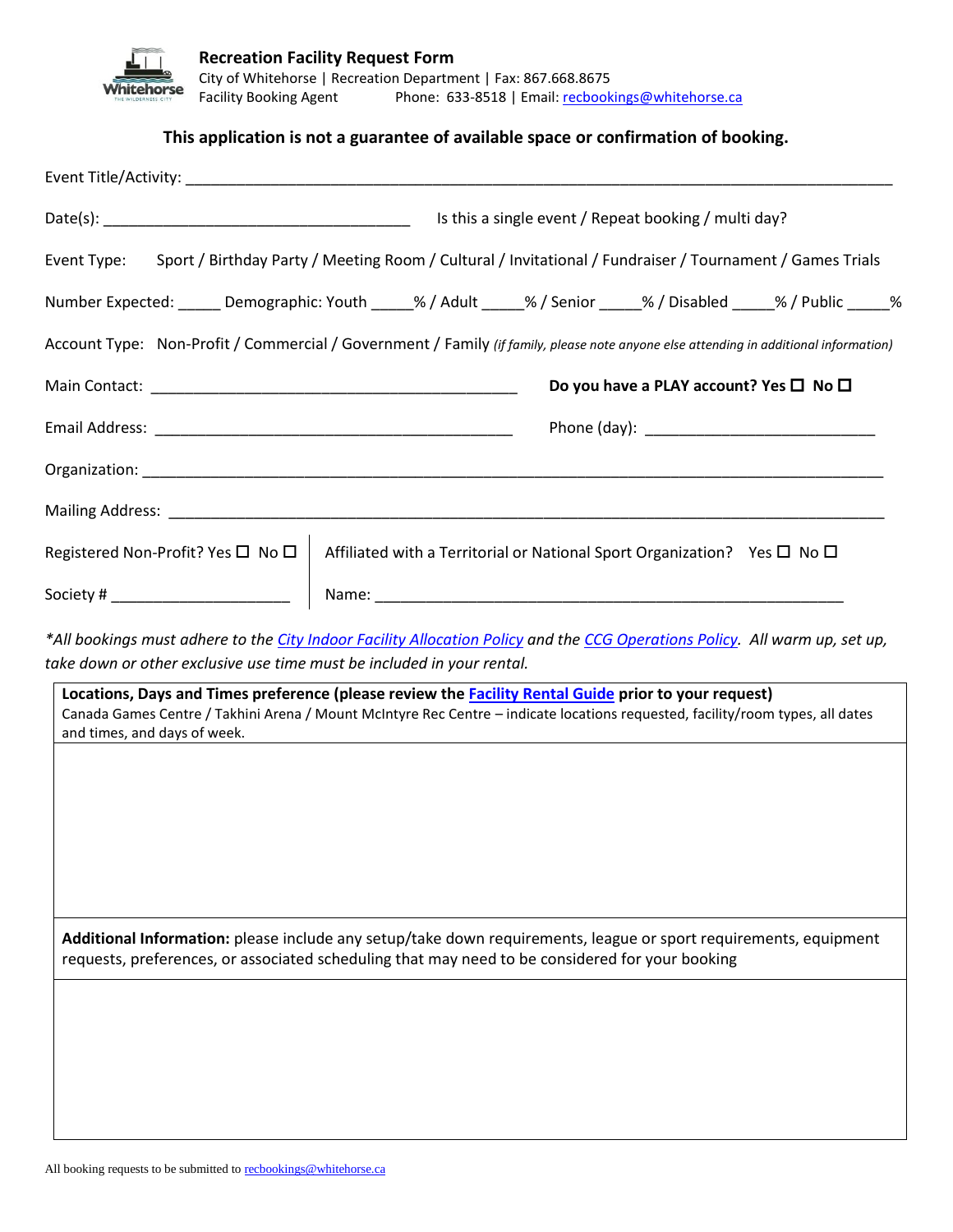

#### **This application is not a guarantee of available space or confirmation of booking.**

|                                                                                                                                                                                                                                                | Is this a single event / Repeat booking / multi day?                                                              |  |  |  |
|------------------------------------------------------------------------------------------------------------------------------------------------------------------------------------------------------------------------------------------------|-------------------------------------------------------------------------------------------------------------------|--|--|--|
| Event Type:                                                                                                                                                                                                                                    | Sport / Birthday Party / Meeting Room / Cultural / Invitational / Fundraiser / Tournament / Games Trials          |  |  |  |
|                                                                                                                                                                                                                                                | Number Expected: _____ Demographic: Youth _____% / Adult _____% / Senior _____% / Disabled _____% / Public _____% |  |  |  |
| Account Type: Non-Profit / Commercial / Government / Family (if family, please note anyone else attending in additional information)                                                                                                           |                                                                                                                   |  |  |  |
|                                                                                                                                                                                                                                                | Do you have a PLAY account? Yes $\square$ No $\square$                                                            |  |  |  |
|                                                                                                                                                                                                                                                |                                                                                                                   |  |  |  |
|                                                                                                                                                                                                                                                |                                                                                                                   |  |  |  |
|                                                                                                                                                                                                                                                |                                                                                                                   |  |  |  |
| Registered Non-Profit? Yes □ No □                                                                                                                                                                                                              | Affiliated with a Territorial or National Sport Organization? Yes $\Box$ No $\Box$                                |  |  |  |
|                                                                                                                                                                                                                                                |                                                                                                                   |  |  |  |
| *All bookings must adhere to the City Indoor Facility Allocation Policy and the CCG Operations Policy. All warm up, set up,<br>the contract of the contract of the contract of the contract of the contract of the contract of the contract of |                                                                                                                   |  |  |  |

*take down or other exclusive use time must be included in your rental.*

**Locations, Days and Times preference (please review the [Facility Rental Guide](https://www.whitehorse.ca/home/showpublisheddocument/8316/636463393785530000) prior to your request)** Canada Games Centre / Takhini Arena / Mount McIntyre Rec Centre – indicate locations requested, facility/room types, all dates and times, and days of week.

**Additional Information:** please include any setup/take down requirements, league or sport requirements, equipment requests, preferences, or associated scheduling that may need to be considered for your booking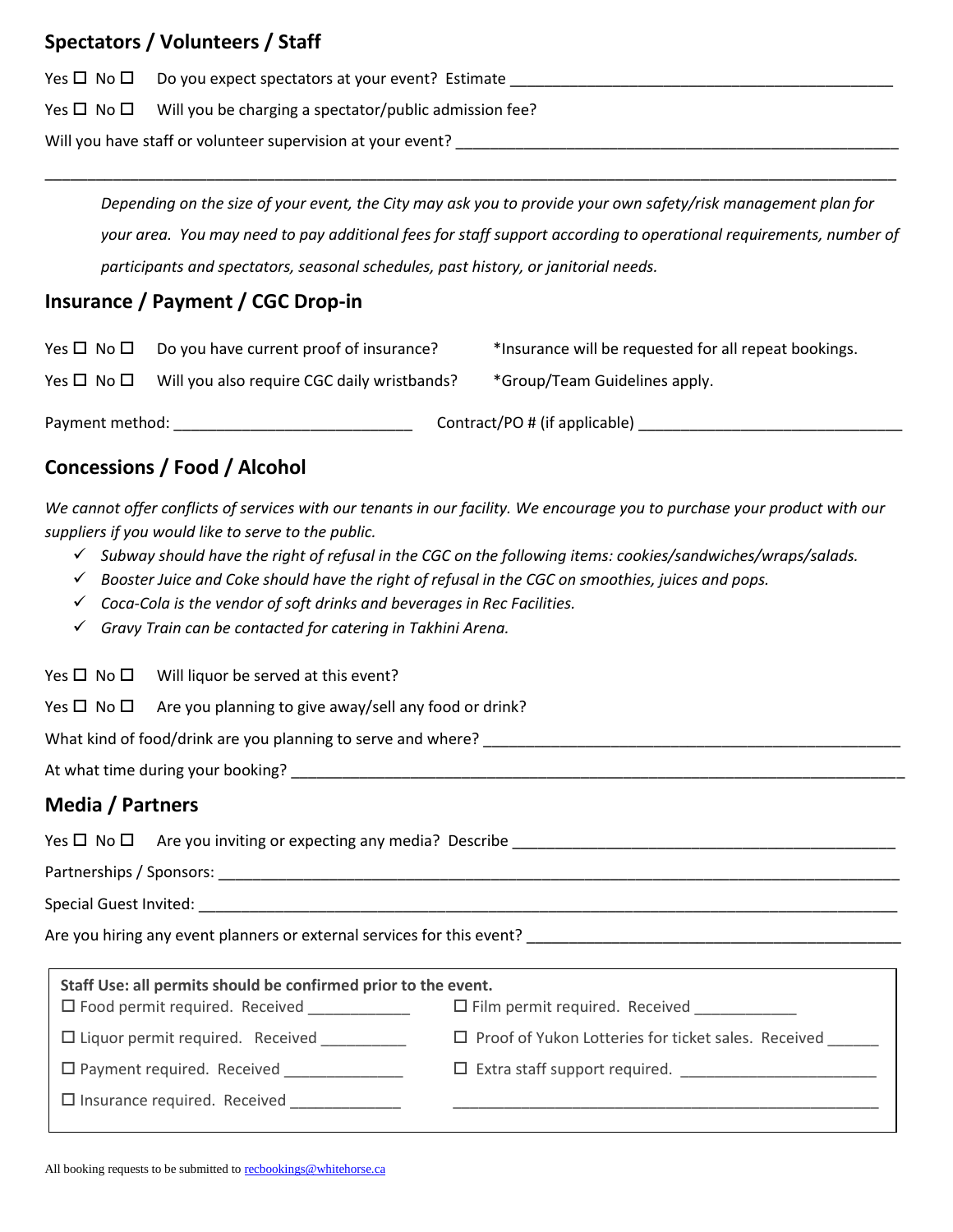#### **Spectators / Volunteers / Staff**

Yes  $\Box$  No  $\Box$  Do you expect spectators at your event? Estimate

Yes  $\Box$  No  $\Box$  Will you be charging a spectator/public admission fee?

Will you have staff or volunteer supervision at your event? \_\_\_\_\_\_\_\_\_\_\_\_\_\_\_\_\_\_\_\_\_\_\_\_\_\_\_\_\_\_\_\_\_\_\_\_\_\_\_\_\_\_\_\_\_\_\_\_\_\_\_\_

*Depending on the size of your event, the City may ask you to provide your own safety/risk management plan for your area. You may need to pay additional fees for staff support according to operational requirements, number of participants and spectators, seasonal schedules, past history, or janitorial needs.* 

\_\_\_\_\_\_\_\_\_\_\_\_\_\_\_\_\_\_\_\_\_\_\_\_\_\_\_\_\_\_\_\_\_\_\_\_\_\_\_\_\_\_\_\_\_\_\_\_\_\_\_\_\_\_\_\_\_\_\_\_\_\_\_\_\_\_\_\_\_\_\_\_\_\_\_\_\_\_\_\_\_\_\_\_\_\_\_\_\_\_\_\_\_\_\_\_\_\_\_\_

## **Insurance / Payment / CGC Drop-in**

|                            | Yes $\Box$ No $\Box$ Do you have current proof of insurance? | *Insurance will be requested for all repeat bookings. |
|----------------------------|--------------------------------------------------------------|-------------------------------------------------------|
| Yes $\square$ No $\square$ | Will you also require CGC daily wristbands?                  | *Group/Team Guidelines apply.                         |
| Payment method:            |                                                              | Contract/PO # (if applicable)                         |

# **Concessions / Food / Alcohol**

*We cannot offer conflicts of services with our tenants in our facility. We encourage you to purchase your product with our suppliers if you would like to serve to the public.*

- *Subway should have the right of refusal in the CGC on the following items: cookies/sandwiches/wraps/salads.*
- *Booster Juice and Coke should have the right of refusal in the CGC on smoothies, juices and pops.*
- *Coca-Cola is the vendor of soft drinks and beverages in Rec Facilities.*
- *Gravy Train can be contacted for catering in Takhini Arena.*

|                                                                                                                                                                 | Yes $\Box$ No $\Box$ Will liquor be served at this event?                  |                                                                   |  |  |
|-----------------------------------------------------------------------------------------------------------------------------------------------------------------|----------------------------------------------------------------------------|-------------------------------------------------------------------|--|--|
|                                                                                                                                                                 | Yes $\Box$ No $\Box$ Are you planning to give away/sell any food or drink? |                                                                   |  |  |
|                                                                                                                                                                 |                                                                            |                                                                   |  |  |
|                                                                                                                                                                 |                                                                            |                                                                   |  |  |
| <b>Media / Partners</b>                                                                                                                                         |                                                                            |                                                                   |  |  |
|                                                                                                                                                                 |                                                                            |                                                                   |  |  |
|                                                                                                                                                                 |                                                                            |                                                                   |  |  |
|                                                                                                                                                                 |                                                                            |                                                                   |  |  |
|                                                                                                                                                                 |                                                                            |                                                                   |  |  |
| Staff Use: all permits should be confirmed prior to the event.<br>□ Food permit required. Received ____________<br>□ Film permit required. Received ___________ |                                                                            |                                                                   |  |  |
|                                                                                                                                                                 |                                                                            | $\Box$ Proof of Yukon Lotteries for ticket sales. Received ______ |  |  |
|                                                                                                                                                                 | □ Payment required. Received ______________                                |                                                                   |  |  |
|                                                                                                                                                                 |                                                                            |                                                                   |  |  |